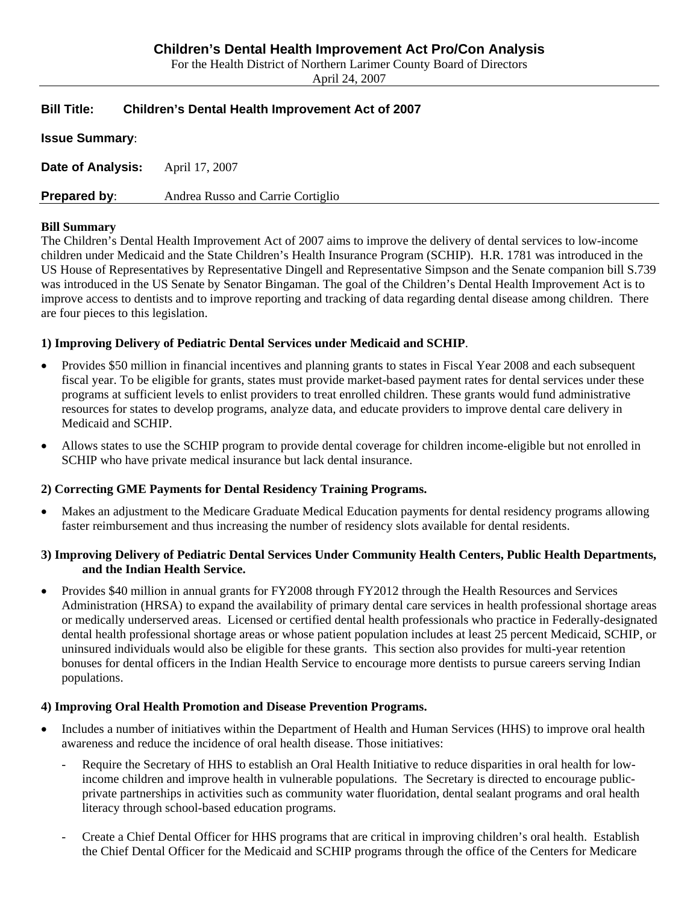# **Children's Dental Health Improvement Act Pro/Con Analysis**

For the Health District of Northern Larimer County Board of Directors

April 24, 2007

# **Bill Title: Children's Dental Health Improvement Act of 2007**

**Issue Summary**:

**Date of Analysis:** April 17, 2007

**Prepared by:** Andrea Russo and Carrie Cortiglio

### **Bill Summary**

The Children's Dental Health Improvement Act of 2007 aims to improve the delivery of dental services to low-income children under Medicaid and the State Children's Health Insurance Program (SCHIP). H.R. 1781 was introduced in the US House of Representatives by Representative Dingell and Representative Simpson and the Senate companion bill S.739 was introduced in the US Senate by Senator Bingaman. The goal of the Children's Dental Health Improvement Act is to improve access to dentists and to improve reporting and tracking of data regarding dental disease among children. There are four pieces to this legislation.

# **1) Improving Delivery of Pediatric Dental Services under Medicaid and SCHIP**.

- Provides \$50 million in financial incentives and planning grants to states in Fiscal Year 2008 and each subsequent fiscal year. To be eligible for grants, states must provide market-based payment rates for dental services under these programs at sufficient levels to enlist providers to treat enrolled children. These grants would fund administrative resources for states to develop programs, analyze data, and educate providers to improve dental care delivery in Medicaid and SCHIP.
- Allows states to use the SCHIP program to provide dental coverage for children income-eligible but not enrolled in SCHIP who have private medical insurance but lack dental insurance.

# **2) Correcting GME Payments for Dental Residency Training Programs.**

• Makes an adjustment to the Medicare Graduate Medical Education payments for dental residency programs allowing faster reimbursement and thus increasing the number of residency slots available for dental residents.

### **3) Improving Delivery of Pediatric Dental Services Under Community Health Centers, Public Health Departments, and the Indian Health Service.**

• Provides \$40 million in annual grants for FY2008 through FY2012 through the Health Resources and Services Administration (HRSA) to expand the availability of primary dental care services in health professional shortage areas or medically underserved areas. Licensed or certified dental health professionals who practice in Federally-designated dental health professional shortage areas or whose patient population includes at least 25 percent Medicaid, SCHIP, or uninsured individuals would also be eligible for these grants. This section also provides for multi-year retention bonuses for dental officers in the Indian Health Service to encourage more dentists to pursue careers serving Indian populations.

# **4) Improving Oral Health Promotion and Disease Prevention Programs.**

- Includes a number of initiatives within the Department of Health and Human Services (HHS) to improve oral health awareness and reduce the incidence of oral health disease. Those initiatives:
	- Require the Secretary of HHS to establish an Oral Health Initiative to reduce disparities in oral health for lowincome children and improve health in vulnerable populations. The Secretary is directed to encourage publicprivate partnerships in activities such as community water fluoridation, dental sealant programs and oral health literacy through school-based education programs.
	- Create a Chief Dental Officer for HHS programs that are critical in improving children's oral health. Establish the Chief Dental Officer for the Medicaid and SCHIP programs through the office of the Centers for Medicare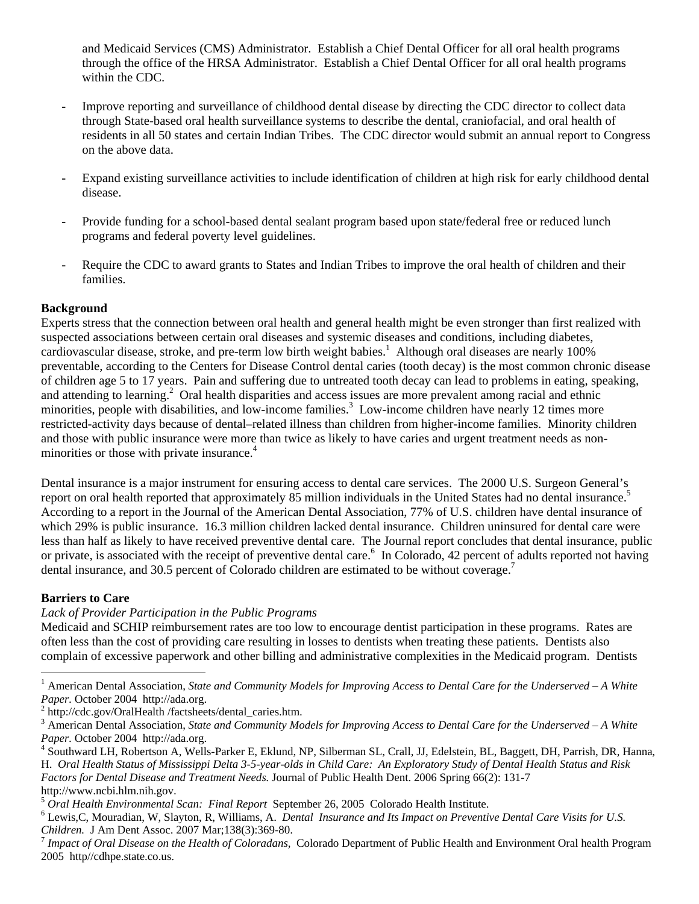and Medicaid Services (CMS) Administrator. Establish a Chief Dental Officer for all oral health programs through the office of the HRSA Administrator. Establish a Chief Dental Officer for all oral health programs within the CDC.

- Improve reporting and surveillance of childhood dental disease by directing the CDC director to collect data through State-based oral health surveillance systems to describe the dental, craniofacial, and oral health of residents in all 50 states and certain Indian Tribes. The CDC director would submit an annual report to Congress on the above data.
- Expand existing surveillance activities to include identification of children at high risk for early childhood dental disease.
- Provide funding for a school-based dental sealant program based upon state/federal free or reduced lunch programs and federal poverty level guidelines.
- Require the CDC to award grants to States and Indian Tribes to improve the oral health of children and their families.

### **Background**

Experts stress that the connection between oral health and general health might be even stronger than first realized with suspected associations between certain oral diseases and systemic diseases and conditions, including diabetes, cardiovascular disease, stroke, and pre-term low birth weight babies.<sup>1</sup> Although oral diseases are nearly 100% preventable, according to the Centers for Disease Control dental caries (tooth decay) is the most common chronic disease of children age 5 to 17 years. Pain and suffering due to untreated tooth decay can lead to problems in eating, speaking, and attending to learning.<sup>2</sup> Oral health disparities and access issues are more prevalent among racial and ethnic minorities, people with disabilities, and low-income families.<sup>3</sup> Low-income children have nearly 12 times more restricted-activity days because of dental–related illness than children from higher-income families. Minority children and those with public insurance were more than twice as likely to have caries and urgent treatment needs as nonminorities or those with private insurance.<sup>4</sup>

Dental insurance is a major instrument for ensuring access to dental care services. The 2000 U.S. Surgeon General's report on oral health reported that approximately 85 million individuals in the United States had no dental insurance.<sup>5</sup> According to a report in the Journal of the American Dental Association, 77% of U.S. children have dental insurance of which 29% is public insurance. 16.3 million children lacked dental insurance. Children uninsured for dental care were less than half as likely to have received preventive dental care. The Journal report concludes that dental insurance, public or private, is associated with the receipt of preventive dental care.<sup>6</sup> In Colorado, 42 percent of adults reported not having dental insurance, and 30.5 percent of Colorado children are estimated to be without coverage.<sup>7</sup>

# **Barriers to Care**

 $\overline{a}$ 

*Lack of Provider Participation in the Public Programs* 

Medicaid and SCHIP reimbursement rates are too low to encourage dentist participation in these programs. Rates are often less than the cost of providing care resulting in losses to dentists when treating these patients. Dentists also complain of excessive paperwork and other billing and administrative complexities in the Medicaid program. Dentists

<sup>&</sup>lt;sup>1</sup> American Dental Association, *State and Community Models for Improving Access to Dental Care for the Underserved – A White* Paper. October 2004 http://ada.org.

 $h$ <sup>2</sup> http://cdc.gov/OralHealth /factsheets/dental\_caries.htm.

<sup>3</sup> American Dental Association, *State and Community Models for Improving Access to Dental Care for the Underserved – A White*  Paper. October 2004 http://ada.org.

Southward LH, Robertson A, Wells-Parker E, Eklund, NP, Silberman SL, Crall, JJ, Edelstein, BL, Baggett, DH, Parrish, DR, Hanna, H. *Oral Health Status of Mississippi Delta 3-5-year-olds in Child Care: An Exploratory Study of Dental Health Status and Risk Factors for Dental Disease and Treatment Needs.* Journal of Public Health Dent. 2006 Spring 66(2): 131-7 http://www.ncbi.hlm.nih.gov.

<sup>5</sup> *Oral Health Environmental Scan: Final Report* September 26, 2005 Colorado Health Institute. 6

Lewis,C, Mouradian, W, Slayton, R, Williams, A. *Dental Insurance and Its Impact on Preventive Dental Care Visits for U.S. Children.* J Am Dent Assoc. 2007 Mar;138(3):369-80.<br><sup>7</sup> *Impact of Oral Disease on the Health of Coloradans, Colorado Department of Public Health and Environment Oral health Program* 

<sup>2005</sup> http//cdhpe.state.co.us.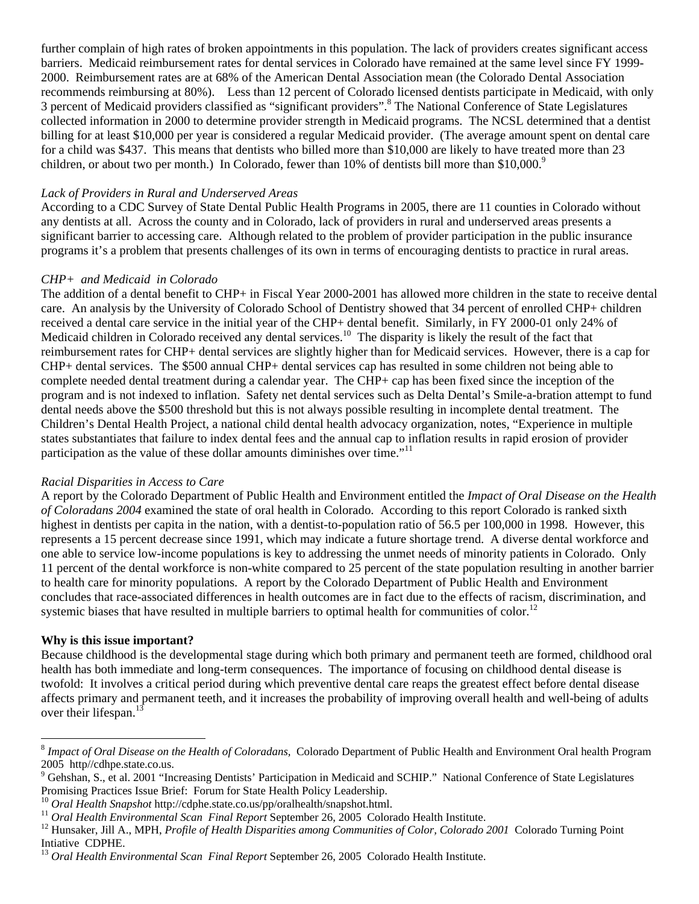further complain of high rates of broken appointments in this population. The lack of providers creates significant access barriers. Medicaid reimbursement rates for dental services in Colorado have remained at the same level since FY 1999- 2000. Reimbursement rates are at 68% of the American Dental Association mean (the Colorado Dental Association recommends reimbursing at 80%). Less than 12 percent of Colorado licensed dentists participate in Medicaid, with only 3 percent of Medicaid providers classified as "significant providers".<sup>8</sup> The National Conference of State Legislatures collected information in 2000 to determine provider strength in Medicaid programs. The NCSL determined that a dentist billing for at least \$10,000 per year is considered a regular Medicaid provider. (The average amount spent on dental care for a child was \$437. This means that dentists who billed more than \$10,000 are likely to have treated more than 23 children, or about two per month.) In Colorado, fewer than 10% of dentists bill more than \$10,000.<sup>9</sup>

### *Lack of Providers in Rural and Underserved Areas*

According to a CDC Survey of State Dental Public Health Programs in 2005, there are 11 counties in Colorado without any dentists at all. Across the county and in Colorado, lack of providers in rural and underserved areas presents a significant barrier to accessing care. Although related to the problem of provider participation in the public insurance programs it's a problem that presents challenges of its own in terms of encouraging dentists to practice in rural areas.

### *CHP+ and Medicaid in Colorado*

The addition of a dental benefit to CHP+ in Fiscal Year 2000-2001 has allowed more children in the state to receive dental care. An analysis by the University of Colorado School of Dentistry showed that 34 percent of enrolled CHP+ children received a dental care service in the initial year of the CHP+ dental benefit. Similarly, in FY 2000-01 only 24% of Medicaid children in Colorado received any dental services.<sup>10</sup> The disparity is likely the result of the fact that reimbursement rates for CHP+ dental services are slightly higher than for Medicaid services. However, there is a cap for CHP+ dental services. The \$500 annual CHP+ dental services cap has resulted in some children not being able to complete needed dental treatment during a calendar year. The CHP+ cap has been fixed since the inception of the program and is not indexed to inflation. Safety net dental services such as Delta Dental's Smile-a-bration attempt to fund dental needs above the \$500 threshold but this is not always possible resulting in incomplete dental treatment. The Children's Dental Health Project, a national child dental health advocacy organization, notes, "Experience in multiple states substantiates that failure to index dental fees and the annual cap to inflation results in rapid erosion of provider participation as the value of these dollar amounts diminishes over time."<sup>11</sup>

#### *Racial Disparities in Access to Care*

A report by the Colorado Department of Public Health and Environment entitled the *Impact of Oral Disease on the Health of Coloradans 2004* examined the state of oral health in Colorado. According to this report Colorado is ranked sixth highest in dentists per capita in the nation, with a dentist-to-population ratio of 56.5 per 100,000 in 1998. However, this represents a 15 percent decrease since 1991, which may indicate a future shortage trend. A diverse dental workforce and one able to service low-income populations is key to addressing the unmet needs of minority patients in Colorado. Only 11 percent of the dental workforce is non-white compared to 25 percent of the state population resulting in another barrier to health care for minority populations. A report by the Colorado Department of Public Health and Environment concludes that race-associated differences in health outcomes are in fact due to the effects of racism, discrimination, and systemic biases that have resulted in multiple barriers to optimal health for communities of color.<sup>12</sup>

### **Why is this issue important?**

 $\overline{a}$ 

Because childhood is the developmental stage during which both primary and permanent teeth are formed, childhood oral health has both immediate and long-term consequences. The importance of focusing on childhood dental disease is twofold: It involves a critical period during which preventive dental care reaps the greatest effect before dental disease affects primary and permanent teeth, and it increases the probability of improving overall health and well-being of adults over their lifespan.<sup>13</sup>

<sup>8</sup> *Impact of Oral Disease on the Health of Coloradans,* Colorado Department of Public Health and Environment Oral health Program 2005 http//cdhpe.state.co.us.

<sup>&</sup>lt;sup>9</sup> Gehshan, S., et al. 2001 "Increasing Dentists' Participation in Medicaid and SCHIP." National Conference of State Legislatures Promising Practices Issue Brief: Forum for State Health Policy Leadership.<br>
<sup>10</sup> Oral Health Snapshot http://cdphe.state.co.us/pp/oralhealth/snapshot.html.<br>
<sup>11</sup> Oral Health Environmental Scan Final Report September 26, 20

Intiative CDPHE.

<sup>13</sup> *Oral Health Environmental Scan Final Report* September 26, 2005 Colorado Health Institute.